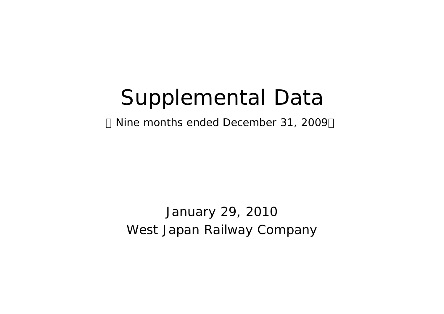# Supplemental Data

Nine months ended December 31, 2009

West Japan Railway Company January 29, 2010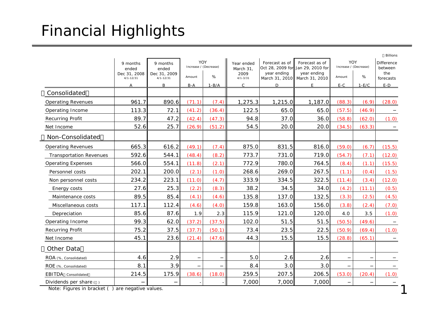## Financial Highlights

|                                                                            |                    |                    |        |                              |                              |                                    |                                     |                              |         | <b>Billions</b>              |
|----------------------------------------------------------------------------|--------------------|--------------------|--------|------------------------------|------------------------------|------------------------------------|-------------------------------------|------------------------------|---------|------------------------------|
|                                                                            | 9 months<br>ended  | 9 months<br>ended  |        | YOY<br>Increase / (Decrease) | Year ended<br>March 31.      | Forecast as of<br>Oct 28, 2009 for | Forecast as of<br>Jan 29, 2010 for  | YOY<br>Increase / (Decrease) |         | <b>Difference</b><br>between |
|                                                                            | Dec 31, 2008       | Dec 31, 2009       | Amount | %                            | 2009                         | year ending                        | year ending                         | Amount                       | %       | the                          |
|                                                                            | $4/1 - 12/31$<br>A | $4/1 - 12/31$<br>B | $B-A$  | $1-B/A$                      | $4/1 - 3/31$<br>$\mathsf{C}$ | D                                  | March 31, 2010 March 31, 2010<br>F. | $E-C$                        | $1-E/C$ | forecasts<br>$E-D$           |
| Consolidated                                                               |                    |                    |        |                              |                              |                                    |                                     |                              |         |                              |
| <b>Operating Revenues</b>                                                  | 961.7              | 890.6              | (71.1) | (7.4)                        | 1,275.3                      | 1,215.0                            | 1,187.0                             | (88.3)                       | (6.9)   | (28.0)                       |
| Operating Income                                                           | 113.3              | 72.1               | (41.2) | (36.4)                       | 122.5                        | 65.0                               | 65.0                                | (57.5)                       | (46.9)  |                              |
| <b>Recurring Profit</b>                                                    | 89.7               | 47.2               | (42.4) | (47.3)                       | 94.8                         | 37.0                               | 36.0                                | (58.8)                       | (62.0)  | (1.0)                        |
| Net Income                                                                 | 52.6               | 25.7               | (26.9) | (51.2)                       | 54.5                         | 20.0                               | 20.0                                | (34.5)                       | (63.3)  |                              |
| Non-Consolidated                                                           |                    |                    |        |                              |                              |                                    |                                     |                              |         |                              |
| <b>Operating Revenues</b>                                                  | 665.3              | 616.2              | (49.1) | (7.4)                        | 875.0                        | 831.5                              | 816.0                               | (59.0)                       | (6.7)   | (15.5)                       |
| <b>Transportation Revenues</b>                                             | 592.6              | 544.1              | (48.4) | (8.2)                        | 773.7                        | 731.0                              | 719.0                               | (54.7)                       | (7.1)   | (12.0)                       |
| <b>Operating Expenses</b>                                                  | 566.0              | 554.1              | (11.8) | (2.1)                        | 772.9                        | 780.0                              | 764.5                               | (8.4)                        | (1.1)   | (15.5)                       |
| Personnel costs                                                            | 202.1              | 200.0              | (2.1)  | (1.0)                        | 268.6                        | 269.0                              | 267.5                               | (1.1)                        | (0.4)   | (1.5)                        |
| Non personnel costs                                                        | 234.2              | 223.1              | (11.0) | (4.7)                        | 333.9                        | 334.5                              | 322.5                               | (11.4)                       | (3.4)   | (12.0)                       |
| Energy costs                                                               | 27.6               | 25.3               | (2.2)  | (8.3)                        | 38.2                         | 34.5                               | 34.0                                | (4.2)                        | (11.1)  | (0.5)                        |
| Maintenance costs                                                          | 89.5               | 85.4               | (4.1)  | (4.6)                        | 135.8                        | 137.0                              | 132.5                               | (3.3)                        | (2.5)   | (4.5)                        |
| Miscellaneous costs                                                        | 117.1              | 112.4              | (4.6)  | (4.0)                        | 159.8                        | 163.0                              | 156.0                               | (3.8)                        | (2.4)   | (7.0)                        |
| Depreciation                                                               | 85.6               | 87.6               | 1.9    | 2.3                          | 115.9                        | 121.0                              | 120.0                               | 4.0                          | 3.5     | (1.0)                        |
| Operating Income                                                           | 99.3               | 62.0               | (37.2) | (37.5)                       | 102.0                        | 51.5                               | 51.5                                | (50.5)                       | (49.6)  |                              |
| <b>Recurring Profit</b>                                                    | 75.2               | 37.5               | (37.7) | (50.1)                       | 73.4                         | 23.5                               | 22.5                                | (50.9)                       | (69.4)  | (1.0)                        |
| Net Income                                                                 | 45.1               | 23.6               | (21.4) | (47.6)                       | 44.3                         | 15.5                               | 15.5                                | (28.8)                       | (65.1)  |                              |
| Other Data                                                                 |                    |                    |        |                              |                              |                                    |                                     |                              |         |                              |
| ROA (%, Consolidated)                                                      | 4.6                | 2.9                |        |                              | 5.0                          | 2.6                                | 2.6                                 |                              |         |                              |
| ROE (%, Consolidated)                                                      | 8.1                | 3.9                |        |                              | 8.4                          | 3.0                                | 3.0                                 |                              |         |                              |
| EBITDA Consolidated                                                        | 214.5              | 175.9              | (38.6) | (18.0)                       | 259.5                        | 207.5                              | 206.5                               | (53.0)                       | (20.4)  | (1.0)                        |
| Dividends per share ()<br>Note: Figures in bracket () are negative values. |                    |                    |        |                              | 7,000                        | 7,000                              | 7,000                               |                              |         |                              |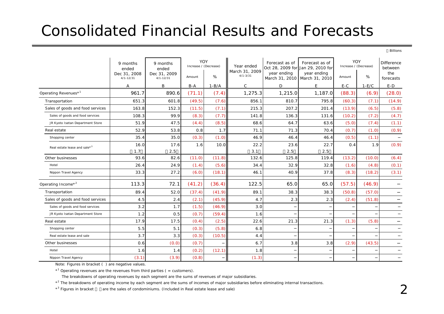## Consolidated Financial Results and Forecasts

Billions

|                                  | 9 months<br>ended<br>Dec 31, 2008<br>$4/1 - 12/31$ | 9 months<br>ended<br>Dec 31, 2009<br>$4/1 - 12/31$ | YOY<br>Increase / (Decrease)<br>Amount | %       | Year ended<br>March 31, 2009<br>$4/1 - 3/31$ | Forecast as of<br>year ending | Forecast as of<br>Oct 28, 2009 for Jan 29, 2010 for<br>year ending<br>March 31, 2010 March 31, 2010 | YOY<br>Increase / (Decrease)<br>Amount | %       | <b>Difference</b><br>between<br>the<br>forecasts |
|----------------------------------|----------------------------------------------------|----------------------------------------------------|----------------------------------------|---------|----------------------------------------------|-------------------------------|-----------------------------------------------------------------------------------------------------|----------------------------------------|---------|--------------------------------------------------|
|                                  | Α                                                  | B                                                  | $B-A$                                  | $1-B/A$ | $\mathsf{C}$                                 | D                             | E                                                                                                   | $E-C$                                  | $1-E/C$ | $E-D$                                            |
| Operating Revenues* <sup>1</sup> | 961.7                                              | 890.6                                              | (71.1)                                 | (7.4)   | 1,275.3                                      | 1,215.0                       | 1,187.0                                                                                             | (88.3)                                 | (6.9)   | (28.0)                                           |
| Transportation                   | 651.3                                              | 601.8                                              | (49.5)                                 | (7.6)   | 856.1                                        | 810.7                         | 795.8                                                                                               | (60.3)                                 | (7.1)   | (14.9)                                           |
| Sales of goods and food services | 163.8                                              | 152.3                                              | (11.5)                                 | (7.1)   | 215.3                                        | 207.2                         | 201.4                                                                                               | (13.9)                                 | (6.5)   | (5.8)                                            |
| Sales of goods and food services | 108.3                                              | 99.9                                               | (8.3)                                  | (7.7)   | 141.8                                        | 136.3                         | 131.6                                                                                               | (10.2)                                 | (7.2)   | (4.7)                                            |
| JR Kyoto Isetan Department Store | 51.9                                               | 47.5                                               | (4.4)                                  | (8.5)   | 68.6                                         | 64.7                          | 63.6                                                                                                | (5.0)                                  | (7.4)   | (1.1)                                            |
| Real estate                      | 52.9                                               | 53.8                                               | 0.8                                    | 1.7     | 71.1                                         | 71.3                          | 70.4                                                                                                | (0.7)                                  | (1.0)   | (0.9)                                            |
| Shopping center                  | 35.4                                               | 35.0                                               | (0.3)                                  | (1.0)   | 46.9                                         | 46.4                          | 46.4                                                                                                | (0.5)                                  | (1.1)   |                                                  |
| Real estate lease and sale*3     | 16.0                                               | 17.6                                               | 1.6                                    | 10.0    | 22.2                                         | 23.6                          | 22.7                                                                                                | 0.4                                    | 1.9     | (0.9)                                            |
|                                  | 1.7                                                | 2.5                                                |                                        |         | 3.1                                          | 2.5                           | 2.5                                                                                                 |                                        |         |                                                  |
| Other businesses                 | 93.6                                               | 82.6                                               | (11.0)                                 | (11.8)  | 132.6                                        | 125.8                         | 119.4                                                                                               | (13.2)                                 | (10.0)  | (6.4)                                            |
| Hotel                            | 26.4                                               | 24.9                                               | (1.4)                                  | (5.6)   | 34.4                                         | 32.9                          | 32.8                                                                                                | (1.6)                                  | (4.8)   | (0.1)                                            |
| Nippon Travel Agency             | 33.3                                               | 27.2                                               | (6.0)                                  | (18.1)  | 46.1                                         | 40.9                          | 37.8                                                                                                | (8.3)                                  | (18.2)  | (3.1)                                            |
| Operating Income <sup>*2</sup>   | 113.3                                              | 72.1                                               | (41.2)                                 | (36.4)  | 122.5                                        | 65.0                          | 65.0                                                                                                | (57.5)                                 | (46.9)  |                                                  |
| Transportation                   | 89.4                                               | 52.0                                               | (37.4)                                 | (41.9)  | 89.1                                         | 38.3                          | 38.3                                                                                                | (50.8)                                 | (57.0)  |                                                  |
| Sales of goods and food services | 4.5                                                | 2.4                                                | (2.1)                                  | (45.9)  | 4.7                                          | 2.3                           | 2.3                                                                                                 | (2.4)                                  | (51.8)  |                                                  |
| Sales of goods and food services | 3.2                                                | 1.7                                                | (1.5)                                  | (46.9)  | 3.0                                          |                               |                                                                                                     |                                        |         |                                                  |
| JR Kyoto Isetan Department Store | 1.2                                                | 0.5                                                | (0.7)                                  | (59.4)  | 1.6                                          |                               |                                                                                                     |                                        |         |                                                  |
| Real estate                      | 17.9                                               | 17.5                                               | (0.4)                                  | (2.5)   | 22.6                                         | 21.3                          | 21.3                                                                                                | (1.3)                                  | (5.8)   |                                                  |
| Shopping center                  | 5.5                                                | 5.1                                                | (0.3)                                  | (5.8)   | 6.8                                          |                               |                                                                                                     |                                        |         |                                                  |
| Real estate lease and sale       | 3.7                                                | 3.3                                                | (0.3)                                  | (10.5)  | 4.4                                          |                               |                                                                                                     |                                        |         |                                                  |
| Other businesses                 | 0.6                                                | (0.0)                                              | (0.7)                                  |         | 6.7                                          | 3.8                           | 3.8                                                                                                 | (2.9)                                  | (43.5)  |                                                  |
| Hotel                            | 1.6                                                | 1.4                                                | (0.2)                                  | (12.1)  | 1.8                                          |                               |                                                                                                     |                                        |         |                                                  |
| Nippon Travel Agency             | (3.1)                                              | (3.9)                                              | (0.8)                                  |         | (1.3)                                        |                               |                                                                                                     |                                        |         |                                                  |

Note: Figures in bracket ( ) are negative values.

 $*$ <sup>1</sup> Operating revenues are the revenues from third parties ( = customers).

The breakdowns of operating revenues by each segment are the sums of revenues of major subsidiaries.

\*<sup>2</sup> The breakdowns of operating income by each segment are the sums of incomes of major subsidiaries before eliminating internal transactions.

 $*$ <sup>3</sup> Figures in bracket are the sales of condominiums. (Included in Real estate lease and sale)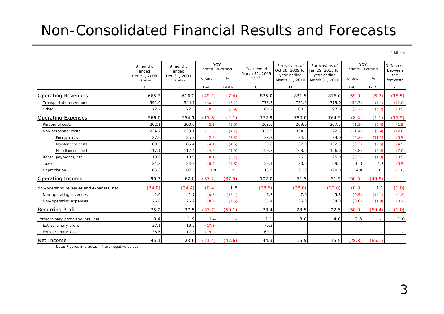### Non-Consolidated Financial Results and Forecasts

Billions

|                                          | 9 months<br>ended<br>Dec 31, 2008 | 9 months<br>ended<br>Dec 31, 2009 | YOY<br>Increase / (Decrease) |         | Year ended<br>March 31, 2009 | Forecast as of<br>Oct 28, 2009 for<br>year ending | Forecast as of<br>Jan 29, 2010 for<br>year ending | YOY<br>Increase / (Decrease) |         | <b>Difference</b><br>between<br>the |
|------------------------------------------|-----------------------------------|-----------------------------------|------------------------------|---------|------------------------------|---------------------------------------------------|---------------------------------------------------|------------------------------|---------|-------------------------------------|
|                                          | $4/1 - 12/31$                     | $4/1 - 12/31$                     | Amount                       | %       | $4/1 - 3/31$                 | March 31, 2010                                    | March 31, 2010                                    | Amount                       | %       | forecasts                           |
|                                          | A                                 | B                                 | $B-A$                        | $1-B/A$ | $\mathsf{C}$                 | D                                                 | E                                                 | $E-C$                        | $1-E/C$ | $E-D$                               |
| <b>Operating Revenues</b>                | 665.3                             | 616.2                             | (49.1)                       | (7.4)   | 875.0                        | 831.5                                             | 816.0                                             | (59.0)                       | (6.7)   | (15.5)                              |
| Transportation revenues                  | 592.6                             | 544.1                             | (48.4)                       | (8.2)   | 773.7                        | 731.0                                             | 719.0                                             | (54.7)                       | (7.1)   | (12.0)                              |
| Other                                    | 72.7                              | 72.0                              | (0.6)                        | (0.9)   | 101.2                        | 100.5                                             | 97.0                                              | (4.2)                        | (4.2)   | (3.5)                               |
| <b>Operating Expenses</b>                | 566.0                             | 554.1                             | (11.8)                       | (2.1)   | 772.9                        | 780.0                                             | 764.5                                             | (8.4)                        | (1.1)   | (15.5)                              |
| Personnel costs                          | 202.1                             | 200.0                             | (2.1)                        | (1.0)   | 268.6                        | 269.0                                             | 267.5                                             | (1.1)                        | (0.4)   | (1.5)                               |
| Non personnel costs                      | 234.2                             | 223.1                             | (11.0)                       | (4.7)   | 333.9                        | 334.5                                             | 322.5                                             | (11.4)                       | (3.4)   | (12.0)                              |
| Energy costs                             | 27.6                              | 25.3                              | (2.2)                        | (8.3)   | 38.2                         | 34.5                                              | 34.0                                              | (4.2)                        | (11.1)  | (0.5)                               |
| Maintenance costs                        | 89.5                              | 85.4                              | (4.1)                        | (4.6)   | 135.8                        | 137.0                                             | 132.5                                             | (3.3)                        | (2.5)   | (4.5)                               |
| Miscellaneous costs                      | 117.1                             | 112.4                             | (4.6)                        | (4.0)   | 159.8                        | 163.0                                             | 156.0                                             | (3.8)                        | (2.4)   | (7.0)                               |
| Rental payments, etc.                    | 19.0                              | 18.9                              | (0.1)                        | (0.7)   | 25.3                         | 25.5                                              | 25.0                                              | (0.3)                        | (1.3)   | (0.5)                               |
| Taxes                                    | 24.8                              | 24.3                              | (0.4)                        | (1.8)   | 29.1                         | 30.0                                              | 29.5                                              | 0.3                          | 1.3     | (0.5)                               |
| Depreciation                             | 85.6                              | 87.6                              | 1.9                          | 2.3     | 115.9                        | 121.0                                             | 120.0                                             | 4.0                          | 3.5     | (1.0)                               |
| Operating Income                         | 99.3                              | 62.0                              | (37.2)                       | (37.5)  | 102.0                        | 51.5                                              | 51.5                                              | (50.5)                       | (49.6)  |                                     |
| Non-operating revenues and expenses, net | (24.0)                            | (24.4)                            | (0.4)                        | 1.8     | (28.6)                       | (28.0)                                            | (29.0)                                            | (0.3)                        | 1.1     | (1.0)                               |
| Non-operating revenues                   | 2.6                               | 1.7                               | (0.8)                        | (32.4)  | 6.7                          | 7.0                                               | 5.8                                               | (0.9)                        | (14.1)  | (1.2)                               |
| Non-operating expenses                   | 26.6                              | 26.2                              | (0.4)                        | (1.6)   | 35.4                         | 35.0                                              | 34.8                                              | (0.6)                        | (1.8)   | (0.2)                               |
| <b>Recurring Profit</b>                  | 75.2                              | 37.5                              | (37.7)                       | (50.1)  | 73.4                         | 23.5                                              | 22.5                                              | (50.9)                       | (69.4)  | (1.0)                               |
| Extraordinary profit and loss, net       | 0.4                               | 1.9                               | 1.4                          |         | 1.1                          | 3.0                                               | 4.0                                               | 2.8                          |         | 1.0                                 |
| Extraordinary profit                     | 37.1                              | 19.2                              | (17.8)                       |         | 70.3                         |                                                   |                                                   | $\sim$                       |         |                                     |
| <b>Extraordinary loss</b>                | 36.6                              | 17.3                              | (19.3)                       |         | 69.2                         |                                                   |                                                   |                              |         |                                     |
| Net Income                               | 45.1                              | 23.6                              | (21.4)                       | (47.6)  | 44.3                         | 15.5                                              | 15.5                                              | (28.8)                       | (65.1)  |                                     |

Note: Figures in bracket ( ) are negative values.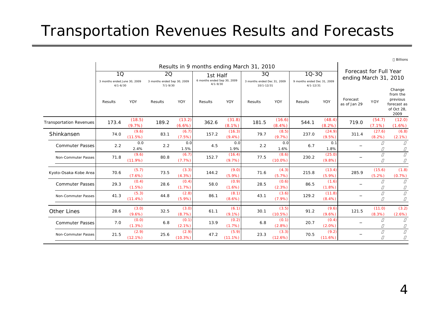## Transportation Revenues Results and Forecasts

|                                | Results in 9 months ending March 31, 2010 |                    |                                                          |                    |                                                         |                     |                                   |                     |                                                           |                    |                                                 |                     |                                                                     |
|--------------------------------|-------------------------------------------|--------------------|----------------------------------------------------------|--------------------|---------------------------------------------------------|---------------------|-----------------------------------|---------------------|-----------------------------------------------------------|--------------------|-------------------------------------------------|---------------------|---------------------------------------------------------------------|
|                                | 1Q<br>3 months ended June 30, 2009        |                    | <b>2Q</b><br>3 months ended Sep 30, 2009<br>$7/1 - 9/30$ |                    | 1st Half<br>6 months ended Sep 30, 2009<br>$4/1 - 9/30$ |                     | 3Q<br>3 months ended Dec 31, 2009 |                     | $10 - 30$<br>9 months ended Dec 31, 2009<br>$4/1 - 12/31$ |                    | Forecast for Full Year<br>ending March 31, 2010 |                     |                                                                     |
|                                | $4/1 - 6/30$<br>Results                   | YOY                | Results                                                  | YOY                | Results                                                 | YOY                 | 10/1-12/31<br>Results             | YOY                 | Results                                                   | YOY                | Forecast<br>as of Jan 29                        | <b>YOY</b>          | Change<br>from the<br>previous<br>forecast as<br>of Oct 28,<br>2009 |
| <b>Transportation Revenues</b> | 173.4                                     | (18.5)<br>(9.7%)   | 189.2                                                    | (13.2)<br>(6.6%)   | 362.6                                                   | (31.8)<br>$(8.1\%)$ | 181.5                             | (16.6)<br>(8.4%     | 544.1                                                     | (48.4)<br>(8.2%)   | 719.0                                           | (54.7)<br>$(7.1\%)$ | (12.0)<br>(1.6%)                                                    |
| Shinkansen                     | 74.0                                      | (9.6)<br>(11.5%)   | 83.1                                                     | (6.7)<br>(7.5%)    | 157.2                                                   | (16.3)<br>(9.4%)    | 79.7                              | (8.5)<br>(9.7%      | 237.0                                                     | (24.9)<br>(9.5%    | 311.4                                           | (27.6)<br>(8.2%)    | (6.8)<br>(2.1%)                                                     |
| <b>Commuter Passes</b>         | 2.2                                       | 0.0<br>2.4%        | 2.2                                                      | 0.0<br>1.5%        | 4.5                                                     | 0.0<br>1.9%         | 2.2                               | 0.0<br>1.6%         | 6.7                                                       | 0.1<br>1.8%        |                                                 |                     |                                                                     |
| Non-Commuter Passes            | 71.8                                      | (9.6)<br>(11.9%)   | 80.8                                                     | (6.7)<br>(7.7%)    | 152.7                                                   | (16.4)<br>(9.7%)    | 77.5                              | (8.6)<br>$(10.0\%)$ | 230.2                                                     | (25.0)<br>(9.8%    |                                                 |                     |                                                                     |
| Kyoto-Osaka-Kobe Area          | 70.6                                      | (5.7)<br>(7.6%)    | 73.5                                                     | (3.3)<br>(4.3%)    | 144.2                                                   | (9.0)<br>(5.9%)     | 71.6                              | (4.3)<br>(5.7%      | 215.8                                                     | (13.4)<br>(5.9%    | 285.9                                           | (15.6)<br>(5.2%)    | (1.8)<br>(0.7%)                                                     |
| <b>Commuter Passes</b>         | 29.3                                      | (0.4)<br>(1.5%)    | 28.6                                                     | (0.4)<br>(1.7%)    | 58.0                                                    | (0.9)<br>(1.6%)     | 28.5                              | (0.6)<br>(2.3%)     | 86.5                                                      | (1.6)<br>(1.8%     |                                                 |                     |                                                                     |
| Non-Commuter Passes            | 41.3                                      | (5.3)<br>(11.4%)   | 44.8                                                     | (2.8)<br>$(5.9\%)$ | 86.1                                                    | (8.1)<br>(8.6%)     | 43.1                              | (3.6)<br>(7.9%      | 129.2                                                     | (11.8)<br>(8.4%    |                                                 |                     |                                                                     |
| <b>Other Lines</b>             | 28.6                                      | (3.0)<br>$(9.6\%)$ | 32.5                                                     | (3.0)<br>(8.7%)    | 61.1                                                    | (6.1)<br>$(9.1\%)$  | 30.1                              | (3.5)<br>(10.5%)    | 91.2                                                      | (9.6)<br>(9.6%     | 121.5                                           | (11.0)<br>(8.3%)    | (3.2)<br>(2.6%)                                                     |
| <b>Commuter Passes</b>         | 7.0                                       | (0.0)<br>(1.3%)    | 6.8                                                      | (0.1)<br>(2.1%)    | 13.9                                                    | (0.2)<br>(1.7%)     | 6.8                               | (0.1)<br>(2.8%)     | 20.7                                                      | (0.4)<br>$(2.0\%)$ |                                                 |                     |                                                                     |
| Non-Commuter Passes            | 21.5                                      | (2.9)<br>(12.1%)   | 25.6                                                     | (2.9)<br>(10.3%)   | 47.2                                                    | (5.9)<br>(11.1%)    | 23.3                              | (3.3)<br>(12.6%)    | 70.5                                                      | (9.2)<br>(11.6%)   |                                                 |                     |                                                                     |

Billions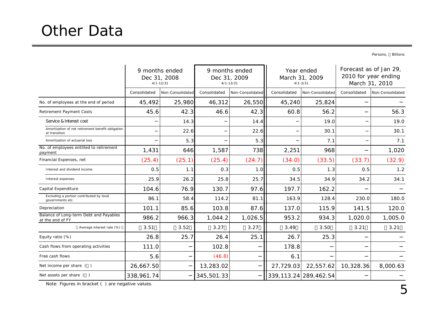## Other Data

Persons, Billions

|                                                                    |              | 9 months ended<br>Dec 31, 2008<br>$4/1 - 12/31$ |              | 9 months ended<br>Dec 31, 2009<br>$4/1 - 12/31$ |              | Year ended<br>March 31, 2009<br>$4/1 - 3/31$ | Forecast as of Jan 29,<br>2010 for year ending<br>March 31, 2010 |                  |  |
|--------------------------------------------------------------------|--------------|-------------------------------------------------|--------------|-------------------------------------------------|--------------|----------------------------------------------|------------------------------------------------------------------|------------------|--|
|                                                                    | Consolidated | Non-Consolidated                                | Consolidated | Non-Consolidated                                | Consolidated | Non-Consolidated                             | Consolidated                                                     | Non-Consolidated |  |
| No. of employees at the end of period                              | 45,492       | 25,980                                          | 46,312       | 26,550                                          | 45,240       | 25,824                                       |                                                                  |                  |  |
| <b>Retirement Payment Costs</b>                                    | 45.6         | 42.3                                            | 46.6         | 42.3                                            | 60.8         | 56.2                                         |                                                                  | 56.3             |  |
| Service & Interest cost                                            |              | 14.3                                            |              | 14.4                                            |              | 19.0                                         |                                                                  | 19.0             |  |
| Amortization of net retirement benefit obligation<br>at transition |              | 22.6                                            |              | 22.6                                            |              | 30.1                                         |                                                                  | 30.1             |  |
| Amortization of actuarial loss                                     |              | 5.3                                             |              | 5.3                                             |              | 7.1                                          |                                                                  | 7.1              |  |
| No. of employees entitled to retirement<br>payment                 | 1,431        | 646                                             | 1,587        | 738                                             | 2,251        | 968                                          |                                                                  | 1,020            |  |
| Financial Expenses, net                                            | (25.4)       | (25.1)                                          | (25.4)       | (24.7)                                          | (34.0)       | (33.5)                                       | (33.7)                                                           | (32.9)           |  |
| Interest and dividend income                                       | 0.5          | 1.1                                             | 0.3          | 1.0                                             | 0.5          | 1.3                                          | 0.5                                                              | 1.2              |  |
| Interest expenses                                                  | 25.9         | 26.2                                            | 25.8         | 25.7                                            | 34.5         | 34.9                                         | 34.2                                                             | 34.1             |  |
| Capital Expenditure                                                | 104.6        | 76.9                                            | 130.7        | 97.6                                            | 197.7        | 162.2                                        |                                                                  |                  |  |
| Excluding a portion contributed by local<br>governments etc.       | 86.1         | 58.4                                            | 114.2        | 81.1                                            | 163.9        | 128.4                                        | 230.0                                                            | 180.0            |  |
| Depreciation                                                       | 101.1        | 85.6                                            | 103.8        | 87.6                                            | 137.0        | 115.9                                        | 141.5                                                            | 120.0            |  |
| Balance of Long-term Debt and Payables<br>at the end of FY         | 986.2        | 966.3                                           | 1,044.2      | 1,026.5                                         | 953.2        | 934.3                                        | 1,020.0                                                          | 1,005.0          |  |
| Average interest rate (%)                                          | 3.51         | 3.52                                            | 3.27         | 3.27                                            | 3.49         | 3.50                                         | 3.21                                                             | 3.21             |  |
| Equity ratio (%)                                                   | 26.8         | 25.7                                            | 26.4         | 25.1                                            | 26.7         | 25.3                                         |                                                                  |                  |  |
| Cash flows from operating activities                               | 111.0        |                                                 | 102.8        |                                                 | 178.8        |                                              |                                                                  |                  |  |
| Free cash flows                                                    | 5.6          |                                                 | (46.8)       |                                                 | 6.1          |                                              |                                                                  |                  |  |
| Net income per share ()                                            | 26,667.50    |                                                 | 13,283.02    |                                                 | 27,729.03    | 22,557.62                                    | 10,328.36                                                        | 8,000.63         |  |
| Net assets per share $( )$                                         | 338,961.74   |                                                 | 345,501.33   |                                                 |              | 339, 113. 24 289, 462. 54                    |                                                                  |                  |  |

Note: Figures in bracket ( ) are negative values.